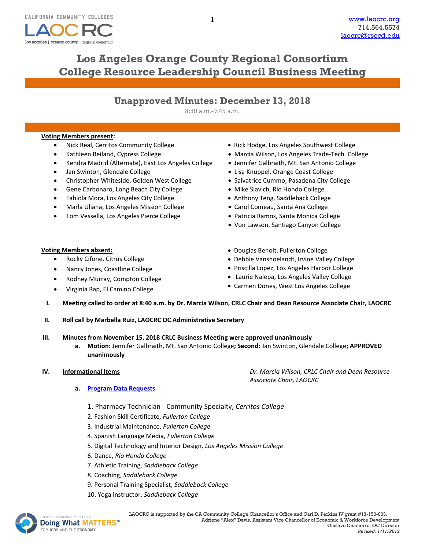

# **Los Angeles Orange County Regional Consortium College Resource Leadership Council Business Meeting**

8:30 a.m.-9:45 a.m.

### **Voting Members present:**

- Nick Real, Cerritos Community College
- Kathleen Reiland, Cypress College
- Kendra Madrid (Alternate), East Los Angeles College
- Jan Swinton, Glendale College
- Christopher Whiteside, Golden West College
- Gene Carbonaro, Long Beach City College
- Fabiola Mora, Los Angeles City College
- Marla Uliana, Los Angeles Mission College
- Tom Vessella, Los Angeles Pierce College
- Rick Hodge, Los Angeles Southwest College
- Marcia Wilson, Los Angeles Trade-Tech College
- Jennifer Galbraith, Mt. San Antonio College
- Lisa Knuppel, Orange Coast College
- Salvatrice Cummo, Pasadena City College
- Mike Slavich, Rio Hondo College
- Anthony Teng, Saddleback College
- Carol Comeau, Santa Ana College
- Patricia Ramos, Santa Monica College
- Von Lawson, Santiago Canyon College

### **Voting Members absent:**

- Rocky Cifone, Citrus College
- Nancy Jones, Coastline College
- Rodney Murray, Compton College
- Virginia Rap, El Camino College
- Douglas Benoit, Fullerton College
- Debbie Vanshoelandt, Irvine Valley College
- Priscilla Lopez, Los Angeles Harbor College
- Laurie Nalepa, Los Angeles Valley College
- Carmen Dones, West Los Angeles College
- **I. Meeting called to order at 8:40 a.m. by Dr. Marcia Wilson, CRLC Chair and Dean Resource Associate Chair, LAOCRC**
- **II. Roll call by Marbella Ruiz, LAOCRC OC Administrative Secretary**

## **III. Minutes from November 15, 2018 CRLC Business Meeting were approved unanimously**

**a. Motion:** Jennifer Galbraith, Mt. San Antonio College**; Second:** Jan Swinton, Glendale College**; APPROVED unanimously**

**IV. Informational Items** *Dr. Marcia Wilson, CRLC Chair and Dean Resource Associate Chair, LAOCRC*

- **a. [Program Data Requests](http://www.laocrc.org/educators/program-approval/program-intents)**
	- 1. Pharmacy Technician Community Specialty, *Cerritos College*
	- 2. Fashion Skill Certificate, *Fullerton College*
	- 3. Industrial Maintenance, *Fullerton College*
	- 4. Spanish Language Media, *Fullerton College*
	- 5. Digital Technology and Interior Design, *Los Angeles Mission College*
	- 6. Dance, *Rio Hondo College*
	- 7. Athletic Training, *Saddleback College*
	- 8. Coaching, *Saddleback College*
	- 9. Personal Training Specialist, *Saddleback College*
	- 10. Yoga instructor, *Saddleback College*

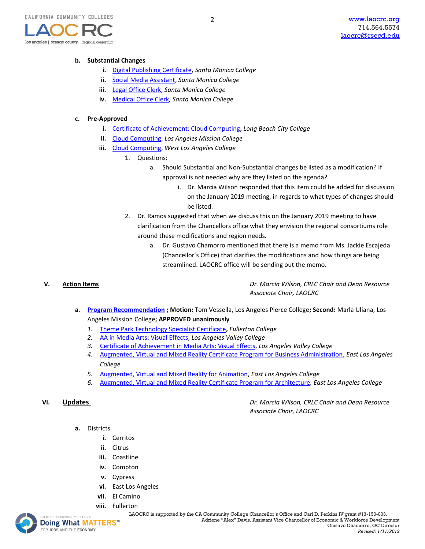

#### **b. Substantial Changes**

- **i.** [Digital Publishing Certificate,](https://www.regionalcte.org/browse/3jJo3) *Santa Monica College*
- **ii.** [Social Media Assistant,](https://www.regionalcte.org/browse/KeJJZ) *Santa Monica College*
- **iii.** [Legal Office Clerk,](https://www.regionalcte.org/browse/3NLmZ) *Santa Monica College*
- **iv.** [Medical Office Clerk](https://www.regionalcte.org/browse/4pyM3)*, Santa Monica College*

#### **c. Pre-Approved**

**i.** [Certificate of Achievement: Cloud Computing](https://www.regionalcte.org/browse/K7RE3)**,** *Long Beach City College*

2

- **ii.** [Cloud Computing,](https://www.regionalcte.org/browse/4B7q3) *Los Angeles Mission College*
- **iii.** [Cloud Computing,](https://www.regionalcte.org/browse/Kvy23) *West Los Angeles College*
	- 1. Questions:
		- a. Should Substantial and Non-Substantial changes be listed as a modification? If approval is not needed why are they listed on the agenda?
			- i. Dr. Marcia Wilson responded that this item could be added for discussion on the January 2019 meeting, in regards to what types of changes should be listed.
	- 2. Dr. Ramos suggested that when we discuss this on the January 2019 meeting to have clarification from the Chancellors office what they envision the regional consortiums role around these modifications and region needs.
		- a. Dr. Gustavo Chamorro mentioned that there is a memo from Ms. Jackie Escajeda (Chancellor's Office) that clarifies the modifications and how things are being streamlined. LAOCRC office will be sending out the memo.

**V. Action Items** *Dr. Marcia Wilson, CRLC Chair and Dean Resource Associate Chair, LAOCRC*

- **a. [Program Recommendation](https://www.regionalcte.org/browse?region=4&status=4&search=&submit=) ; Motion:** Tom Vessella, Los Angeles Pierce College**; Second:** Marla Uliana, Los Angeles Mission College**; APPROVED unanimously**
	- *1.* [Theme Park Technology Specialist Certificate](https://www.regionalcte.org/browse/38YQK)**,** *Fullerton College*
	- *2.* [AA in Media Arts: Visual Effects,](https://www.regionalcte.org/browse/ZbJNZ) *Los Angeles Valley College*
	- *3.* [Certificate of Achievement in Media Arts: Visual Effects,](https://www.regionalcte.org/browse/3WP0K) *Los Angeles Valley College*
	- *4.* [Augmented, Virtual and Mixed Reality Certificate Program for Business Administration,](https://www.regionalcte.org/browse/3OGa3) *East Los Angeles College*
	- *5.* [Augmented, Virtual and Mixed Reality for Animation,](https://www.regionalcte.org/browse/4ERv3) *East Los Angeles College*
	- *6.* [Augmented, Virtual and Mixed Reality Certificate Program for Architecture](https://www.regionalcte.org/browse/KVogZ)*, East Los Angeles College*

**VI. Updates** *Dr. Marcia Wilson, CRLC Chair and Dean Resource Associate Chair, LAOCRC*

- **a.** Districts
	- **i.** Cerritos
	- **ii.** Citrus
	- **iii.** Coastline
	- **iv.** Compton
	- **v.** Cypress
	- **vi.** East Los Angeles
	- **vii.** El Camino
	- **viii.** [Fullert](http://www.doingwhatmatters.cccco.edu/)on